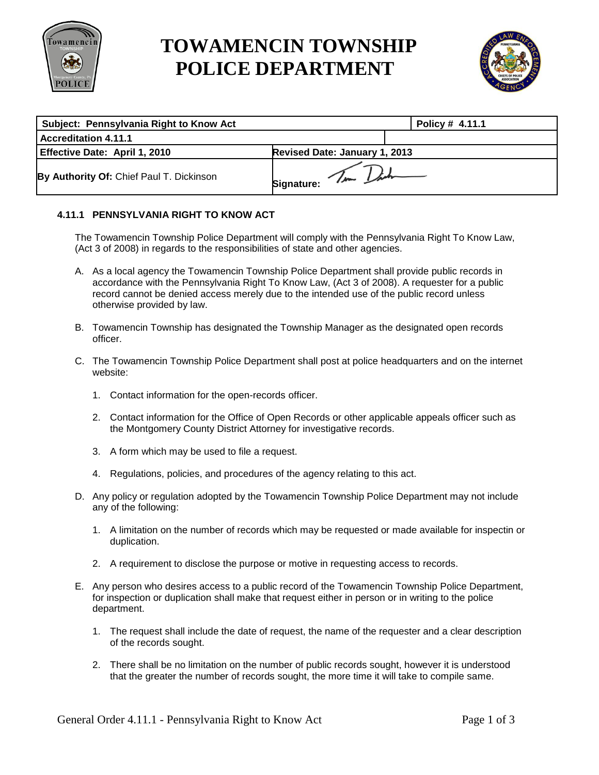

## **TOWAMENCIN TOWNSHIP POLICE DEPARTMENT**



| Subject: Pennsylvania Right to Know Act  | Policy # 4.11.1               |  |
|------------------------------------------|-------------------------------|--|
| Accreditation 4.11.1                     |                               |  |
| Effective Date: April 1, 2010            | Revised Date: January 1, 2013 |  |
| By Authority Of: Chief Paul T. Dickinson | Signature: Tim Dark           |  |

## **4.11.1 PENNSYLVANIA RIGHT TO KNOW ACT**

The Towamencin Township Police Department will comply with the Pennsylvania Right To Know Law, (Act 3 of 2008) in regards to the responsibilities of state and other agencies.

- A. As a local agency the Towamencin Township Police Department shall provide public records in accordance with the Pennsylvania Right To Know Law, (Act 3 of 2008). A requester for a public record cannot be denied access merely due to the intended use of the public record unless otherwise provided by law.
- B. Towamencin Township has designated the Township Manager as the designated open records officer.
- C. The Towamencin Township Police Department shall post at police headquarters and on the internet website:
	- 1. Contact information for the open-records officer.
	- 2. Contact information for the Office of Open Records or other applicable appeals officer such as the Montgomery County District Attorney for investigative records.
	- 3. A form which may be used to file a request.
	- 4. Regulations, policies, and procedures of the agency relating to this act.
- D. Any policy or regulation adopted by the Towamencin Township Police Department may not include any of the following:
	- 1. A limitation on the number of records which may be requested or made available for inspectin or duplication.
	- 2. A requirement to disclose the purpose or motive in requesting access to records.
- E. Any person who desires access to a public record of the Towamencin Township Police Department, for inspection or duplication shall make that request either in person or in writing to the police department.
	- 1. The request shall include the date of request, the name of the requester and a clear description of the records sought.
	- 2. There shall be no limitation on the number of public records sought, however it is understood that the greater the number of records sought, the more time it will take to compile same.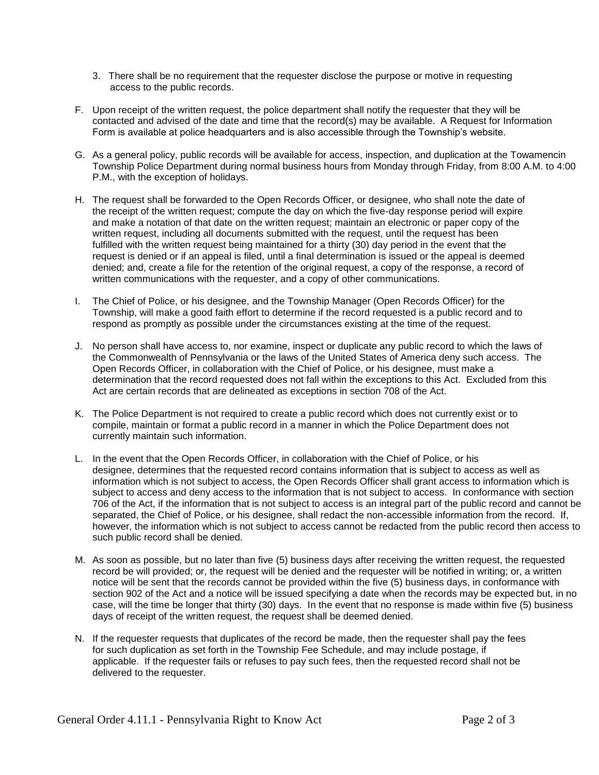- 3. There shall be no requirement that the requester disclose the purpose or motive in requesting access to the public records.
- F. Upon receipt of the written request, the police department shall notify the requester that they will be contacted and advised of the date and time that the record(s) may be available. A Request for Information Form is available at police headquarters and is also accessible through the Township's website.
- G. As a general policy, public records will be available for access, inspection, and duplication at the Towamencin Township Police Department during normal business hours from Monday through Friday, from 8:00 A.M. to 4:00 P.M., with the exception of holidays.
- H. The request shall be forwarded to the Open Records Officer, or designee, who shall note the date of the receipt of the written request; compute the day on which the five-day response period will expire and make a notation of that date on the written request; maintain an electronic or paper copy of the written request, including all documents submitted with the request, until the request has been fulfilled with the written request being maintained for a thirty (30) day period in the event that the request is denied or if an appeal is filed, until a final determination is issued or the appeal is deemed denied; and, create a file for the retention of the original request, a copy of the response, a record of written communications with the requester, and a copy of other communications.
- I. The Chief of Police, or his designee, and the Township Manager (Open Records Officer) for the Township, will make a good faith effort to determine if the record requested is a public record and to respond as promptly as possible under the circumstances existing at the time of the request.
- J. No person shall have access to, nor examine, inspect or duplicate any public record to which the laws of the Commonwealth of Pennsylvania or the laws of the United States of America deny such access. The Open Records Officer, in collaboration with the Chief of Police, or his designee, must make a determination that the record requested does not fall within the exceptions to this Act. Excluded from this Act are certain records that are delineated as exceptions in section 708 of the Act.
- K. The Police Department is not required to create a public record which does not currently exist or to compile, maintain or format a public record in a manner in which the Police Department does not currently maintain such information.
- L. In the event that the Open Records Officer, in collaboration with the Chief of Police, or his designee, determines that the requested record contains information that is subject to access as well as information which is not subject to access, the Open Records Officer shall grant access to information which is subject to access and deny access to the information that is not subject to access. In conformance with section 706 of the Act, if the information that is not subject to access is an integral part of the public record and cannot be separated, the Chief of Police, or his designee, shall redact the non-accessible information from the record. If, however, the information which is not subject to access cannot be redacted from the public record then access to such public record shall be denied.
- M. As soon as possible, but no later than five (5) business days after receiving the written request, the requested record be will provided; or, the request will be denied and the requester will be notified in writing; or, a written notice will be sent that the records cannot be provided within the five (5) business days, in conformance with section 902 of the Act and a notice will be issued specifying a date when the records may be expected but, in no case, will the time be longer that thirty (30) days. In the event that no response is made within five (5) business days of receipt of the written request, the request shall be deemed denied.
- N. If the requester requests that duplicates of the record be made, then the requester shall pay the fees for such duplication as set forth in the Township Fee Schedule, and may include postage, if applicable. If the requester fails or refuses to pay such fees, then the requested record shall not be delivered to the requester.